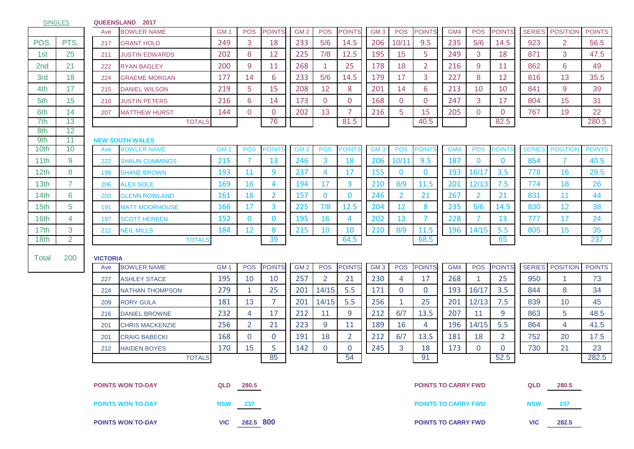| <b>SINGLES</b>   |                          |                 | QUEENSLAND 2017                              |                 |                      |                |                 |                |                |                 |                |                |                            |                |                |               |                 |               |
|------------------|--------------------------|-----------------|----------------------------------------------|-----------------|----------------------|----------------|-----------------|----------------|----------------|-----------------|----------------|----------------|----------------------------|----------------|----------------|---------------|-----------------|---------------|
|                  |                          | Ave             | <b>BOWLER NAME</b>                           | GM <sub>1</sub> | <b>POS</b>           | <b>POINTS</b>  | GM <sub>2</sub> | <b>POS</b>     | <b>POINTS</b>  | GM <sub>3</sub> | <b>POS</b>     | <b>POINTS</b>  | GM4                        | <b>POS</b>     | <b>POINTS</b>  | <b>SERIES</b> | <b>POSITION</b> | <b>POINTS</b> |
| POS.             | PTS.                     | 217             | <b>GRANT HOLD</b>                            | 249             | 3                    | 18             | 233             | 5/6            | 14.5           | 206             | 10/11          | 9.5            | 235                        | 5/6            | 14.5           | 923           | 2               | 56.5          |
| 1st              | 25                       | 211             | <b>JUSTIN EDWARDS</b>                        | 202             | 8                    | 12             | 225             | 7/8            | 12.5           | 195             | 15             | 5              | 249                        | 3              | 18             | 871           | 3               | 47.5          |
| 2 <sub>nd</sub>  | 21                       | 222             | <b>RYAN BAGLEY</b>                           | 200             | 9                    | 11             | 268             | $\mathbf{1}$   | 25             | 178             | 18             | $\overline{2}$ | 216                        | 9              | 11             | 862           | 6               | 49            |
| 3rd              | 18                       | 224             | <b>GRAEME MORGAN</b>                         | 177             | 14                   | 6              | 233             | 5/6            | 14.5           | 179             | 17             | 3              | 227                        | 8              | 12             | 816           | 13              | 35.5          |
| 4th              | 17                       | 215             | <b>DANIEL WILSON</b>                         | 219             | 5                    | 15             | 208             | 12             | 8              | 201             | 14             | 6              | 213                        | 10             | 10             | 841           | 9               | 39            |
| 5th              | 15                       | 210             | <b>JUSTIN PETERS</b>                         | 216             | 6                    | 14             | 173             | $\overline{0}$ | $\overline{0}$ | 168             | $\overline{0}$ | $\mathbf{0}$   | 247                        | 3              | 17             | 804           | 15              | 31            |
| 6th              | 14                       | 207             | <b>MATTHEW HURST</b>                         | 144             | $\overline{0}$       | $\mathbf{0}$   | 202             | 13             | $\overline{7}$ | 216             | 5              | 15             | 205                        | $\overline{0}$ | $\mathbf{0}$   | 767           | 19              | 22            |
| 7th              | 13                       |                 | <b>TOTALS</b>                                |                 |                      | 76             |                 |                | 81.5           |                 |                | 40.5           |                            |                | 82.5           |               |                 | 280.5         |
| 8th              | 12                       |                 |                                              |                 |                      |                |                 |                |                |                 |                |                |                            |                |                |               |                 |               |
| 9th<br>10th      | 11<br>10                 | Ave             | <b>NEW SOUTH WALES</b><br><b>BOWLER NAME</b> | GM <sub>1</sub> | <b>POS</b>           | <b>POINTS</b>  | GM <sub>2</sub> | <b>POS</b>     | <b>POINTS</b>  | GM <sub>3</sub> | <b>POS</b>     | <b>POINTS</b>  | GM4                        | <b>POS</b>     | <b>POINTS</b>  | <b>SERIES</b> | <b>POSITIOI</b> | <b>POINTS</b> |
| 11th             | 9                        | 222             | <b>SHAUN CUMMINGS</b>                        | 215             | 7                    | 13             | 246             | 3              | 18             | 206             | 10/11          | 9.5            | 187                        | $\mathbf{0}$   | $\mathbf{0}$   | 854           | $\overline{7}$  | 40.5          |
| 12 <sub>th</sub> | 8                        | 199             | <b>SHANE BROWN</b>                           | 193             | 11                   | 9              | 237             | 4              | 17             | 155             | $\mathbf{0}$   | $\mathbf{0}$   | 193                        | 16/17          | 3.5            | 778           | 16              | 29.5          |
| 13th             | $\overline{7}$           | 206             | <b>ALEX SOLE</b>                             | 169             | 16                   | 4              | 194             | 17             | 3              | 210             | 8/9            | 11.5           | 201                        | 12/13          | 7.5            | 774           | 18              | 26            |
| 14th             | 6                        | 203             | <b>GLENN ROWLAND</b>                         | 161             | 18                   | $\overline{2}$ | 157             | $\mathbf{0}$   | $\bf{0}$       | 246             | $\overline{2}$ | 21             | 267                        | $\overline{2}$ | 21             | 831           | 11              | 44            |
| 15th             | 5                        | 191             | MATT MOORHOUSE                               | 166             | 17                   | 3              | 225             | 7/8            | 12.5           | 204             | 12             | 8              | 235                        | 5/6            | 14.5           | 830           | 12              | 38            |
| 16th             | 4                        | 197             | <b>SCOTT HERBEN</b>                          | 152             | $\mathbf{0}$         | $\mathbf{0}$   | 195             | 16             | 4              | 202             | 13             | $\overline{7}$ | 228                        | 7              | 13             | 777           | 17              | 24            |
| 17th             | 3                        | 212             | <b>NEIL MILLS</b>                            | 184             | 12                   | 8              | 215             | 10             | 10             | 210             | 8/9            | 11.5           | 196                        | 14/15          | 5.5            | 805           | 15              | 35            |
| 18th             | $\overline{2}$           |                 | <b>TOTALS</b>                                |                 |                      | 39             |                 |                | 64.5           |                 |                | 68.5           |                            |                | 65             |               |                 | 237           |
|                  |                          |                 |                                              |                 |                      |                |                 |                |                |                 |                |                |                            |                |                |               |                 |               |
| Total            | 200                      | <b>VICTORIA</b> |                                              |                 |                      |                |                 |                |                |                 |                |                |                            |                |                |               |                 |               |
|                  |                          | Ave             | <b>BOWLER NAME</b>                           | GM <sub>1</sub> | <b>POS</b>           | <b>POINTS</b>  | GM <sub>2</sub> | <b>POS</b>     | <b>POINTS</b>  | GM <sub>3</sub> | <b>POS</b>     | <b>POINTS</b>  | GM4                        | <b>POS</b>     | <b>POINTS</b>  | <b>SERIES</b> | <b>POSITION</b> | <b>POINTS</b> |
|                  |                          | 227             | <b>ASHLEY STACE</b>                          | 195             | 10                   | 10             | 257             | $\overline{2}$ | 21             | 230             | $\overline{4}$ | 17             | 268                        | -1             | 25             | 950           | -1              | 73            |
|                  |                          | 224             | <b>NATHAN THOMPSON</b>                       | 279             | $\blacktriangleleft$ | 25             | 201             | 14/15          | 5.5            | 171             | $\mathbf 0$    | $\mathbf{0}$   | 193                        | 16/17          | 3.5            | 844           | 8               | 34            |
|                  |                          | 209             | <b>RORY GULA</b>                             | 181             | 13                   | $\overline{7}$ | 201             | 14/15          | 5.5            | 256             | 1              | 25             | 201                        | 12/13          | 7.5            | 839           | 10              | 45            |
|                  |                          | 216             | <b>DANIEL BROWNE</b>                         | 232             | 4                    | 17             | 212             | 11             | 9              | 212             | 6/7            | 13.5           | 207                        | 11             | 9              | 863           | 5               | 48.5          |
|                  |                          | 201             | <b>CHRIS MACKENZIE</b>                       | 256             | $\overline{2}$       | 21             | 223             | 9              | 11             | 189             | 16             | 4              | 196                        | 14/15          | 5.5            | 864           | 4               | 41.5          |
|                  |                          | 201             | <b>CRAIG BABECKI</b>                         | 168             | $\overline{0}$       | $\mathbf{0}$   | 191             | 18             | $\overline{2}$ | 212             | 6/7            | 13.5           | 181                        | 18             | $\overline{2}$ | 752           | 20              | 17.5          |
|                  |                          | 212             | <b>HAIDEN BOYES</b>                          | 170             | 15                   | 5              | 142             | 0              | $\mathbf 0$    | 245             | 3              | 18             | 173                        | $\mathbf 0$    | $\mathbf{0}$   | 730           | 21              | 23            |
|                  |                          |                 | <b>TOTALS</b>                                |                 |                      | 85             |                 |                | 54             |                 |                | 91             |                            |                | 52.5           |               |                 | 282.5         |
|                  |                          |                 |                                              |                 |                      |                |                 |                |                |                 |                |                |                            |                |                |               |                 |               |
|                  | <b>POINTS WON TO-DAY</b> |                 |                                              |                 | QLD 280.5            |                |                 |                |                |                 |                |                | <b>POINTS TO CARRY FWD</b> |                |                | <b>QLD</b>    | 280.5           |               |
|                  | <b>POINTS WON TO-DAY</b> |                 |                                              | <b>NSW</b>      | 237                  |                |                 |                |                |                 |                |                | <b>POINTS TO CARRY FWD</b> |                |                | <b>NSW</b>    | 237             |               |
|                  |                          |                 |                                              |                 |                      |                |                 |                |                |                 |                |                |                            |                |                |               |                 |               |
|                  |                          |                 | <b>POINTS WON TO-DAY</b>                     | <b>VIC</b>      | 282.5 800            |                |                 |                |                |                 |                |                | <b>POINTS TO CARRY FWD</b> |                |                | <b>VIC</b>    | 282.5           |               |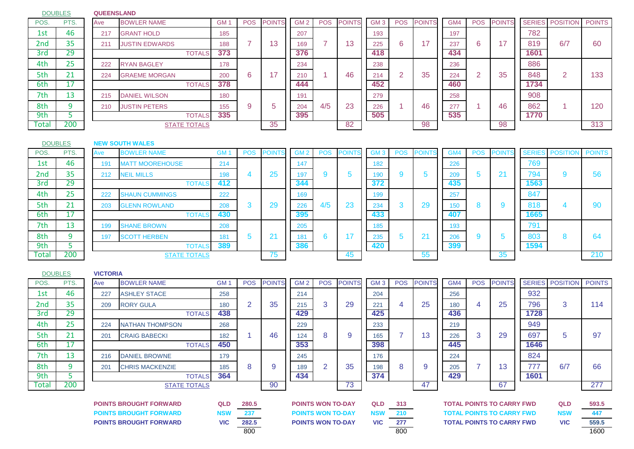DOUBLES

**DOUBLES** 

## **QUEENSLAND**

| POS.  | PTS. | Ave | <b>BOWLER NAME</b>    | <b>GM</b> | <b>POS</b> | <b>POINTS</b>   | GM <sub>2</sub> | <b>POS</b> | <b>POINTS</b>        | GM <sub>3</sub> | <b>POS</b> | <b>POINTS</b> | GM4 | <b>POS</b> | <b>POINTS</b> |      | SERIES POSITION POINTS |     |
|-------|------|-----|-----------------------|-----------|------------|-----------------|-----------------|------------|----------------------|-----------------|------------|---------------|-----|------------|---------------|------|------------------------|-----|
| 1st   | 46   | 217 | <b>GRANT HOLD</b>     | 185       |            |                 | 207             |            |                      | 193             |            |               | 197 |            |               | 782  |                        |     |
| 2nd   | 35   | 211 | <b>JUSTIN EDWARDS</b> | 188       |            | $\Lambda$<br>13 | 169             |            | $\overline{a}$<br>13 | 225             | 6          | 17            | 237 | 6          | דו            | 819  | 6/7                    | 60  |
| 3rd   | 29   |     | <b>TOTALS</b>         | 373       |            |                 | 376             |            |                      | 418             |            |               | 434 |            |               | 1601 |                        |     |
| 4th   | 25   | 222 | <b>RYAN BAGLEY</b>    | 178       |            |                 | 234             |            |                      | 238             |            |               | 236 |            |               | 886  |                        |     |
| 5th   | 21   | 224 | <b>GRAEME MORGAN</b>  | 200       | 6          | и               | 210             |            | 46                   | 214             |            | 35            | 224 |            | 35            | 848  | $\overline{2}$         | 133 |
| 6th   | 17   |     | <b>TOTALS</b>         | 378       |            |                 | 444             |            |                      | 452             |            |               | 460 |            |               | 1734 |                        |     |
| 7th   | 13   | 215 | DANIEL WILSON         | 180       |            |                 | 191             |            |                      | 279             |            |               | 258 |            |               | 908  |                        |     |
| 8th   |      | 210 | <b>JUSTIN PETERS</b>  | 155       |            |                 | 204             | 4/5        | 23                   | 226             |            | 46            | 277 |            | 46            | 862  |                        | 120 |
| 9th   |      |     | <b>TOTALS</b>         | 335       |            |                 | 395             |            |                      | 505             |            |               | 535 |            |               | 1770 |                        |     |
| Total | 200  |     | <b>STATE TOTALS</b>   |           |            | 35              |                 |            | 82                   |                 |            | 98            |     |            | 98            |      |                        | 313 |

## **NEW SOUTH WALES**

| POS.  | PTS. | Ave | <b>BOWLER NAME</b>     | GM  | <b>POS</b> | <b>POINTS</b>  | GM <sub>2</sub> | <b>POS</b> | <b>POINTS</b> | GM <sub>3</sub> | <b>POS</b> | <b>POINTS</b>  | GM <sub>4</sub> | <b>POS</b> | <b>POINT</b> |      | <b>SERIES POSITION</b> | <b>POINTS</b> |
|-------|------|-----|------------------------|-----|------------|----------------|-----------------|------------|---------------|-----------------|------------|----------------|-----------------|------------|--------------|------|------------------------|---------------|
| 1st   | 46   | 191 | <b>MATT MOOREHOUSE</b> | 214 |            |                | 147             |            |               | 182             |            |                | 226             |            |              | 769  |                        |               |
| 2nd   | 35   | 212 | <b>NEIL MILLS</b>      | 198 |            | 25             | 197             |            | b             | 190             |            | 5              | 209             |            | Z            | 794  |                        | 56            |
| 3rd   | 29   |     | <b>TOTALS</b>          | 412 |            |                | 344             |            |               | 372             |            |                | 435             |            |              | 1563 |                        |               |
| 4th   | 25   | 222 | <b>SHAUN CUMMINGS</b>  | 222 |            |                | 169             |            |               | 199             |            |                | 257             |            |              | 847  |                        |               |
| 5th   | 21   | 203 | <b>GLENN ROWLAND</b>   | 208 | . .        | 29             | 226             | 4/5        | 23            | 234             |            | 29             | 150             |            | -            | 818  |                        | 90            |
| 6th   |      |     | <b>TOTALS</b>          | 430 |            |                | 395             |            |               | 433             |            |                | 407             |            |              | 1665 |                        |               |
| 7th   | 13   | 199 | <b>SHANE BROWN</b>     | 208 |            |                | 205             |            |               | 185             |            |                | 193             |            |              | 791  |                        |               |
| 8th   | n    | 197 | <b>SCOTT HERBEN</b>    | 181 | $\cdot$    | 2 <sup>1</sup> | 181             |            |               | 235             |            | 2 <sub>1</sub> | 206             |            | n            | 803  |                        | 64            |
| 9th   |      |     | <b>TOTALS</b>          | 389 |            |                | 386             |            |               | 420             |            |                | 399             |            |              | 1594 |                        |               |
| Total | 200  |     | <b>STATE TOTALS</b>    |     |            | 75             |                 |            | 45            |                 |            | 55             |                 |            | 35           |      |                        | 210           |

## **VICTORIA** POS. PTS. | |Ave |BOWLER NAME GM 1 | POS |POINTS| |GM 2 | POS |POINTS| |GM 3 | POS |POINTS| |GM4 | POS |POINTS| |SERIES | POSITION | POINTS 1st 46 227 ASHLEY STACE 258 258 214 214 204 204 256 256 2nd 35 209 RORY GULA 180 2 35 215 3 29 221 4 25 180 4 25 796 3 114 3rd 29 TOTALS **438 429 425 436 1728** 4th 25 224 NATHANTHOMPSON 268 1 229 233 1 234 239 239 23 5th 21 201 CRAIG BABECKI 182 1 46 124 8 9 165 7 13 226 3 29 697 5 97 6th 17 TOTALS **450 353 398 445 1646** 7th 13 216 DANIEL BROWNE 179 179 245 1295 176 176 224 1224 1224 8th 9 201 CHRIS MACKENZIE 185 8 9 189 2 35 1 198 8 9 205 7 13 777 6/7 66 9th 5 TOTALS **364 434 374 429 1601** Total 200 STATE TOTALS 90 73 47 67 277 **POINTS BROUGHT FORWARD QLD 280.5 QLD 313 QLD 593.5 POINTS WON TO-DAY TOTAL POINTS TO CARRY FWD POINTS BROUGHT FORWARD NSW 237 NSW 210 NSW 447 POINTS WON TO-DAY TOTAL POINTS TO CARRY FWD POINTS BROUGHT FORWARD VIC 282.5 VIC 277 VIC 559.5 POINTS WON TO-DAY TOTAL POINTS TO CARRY FWD**DOUBLES

800 800 1600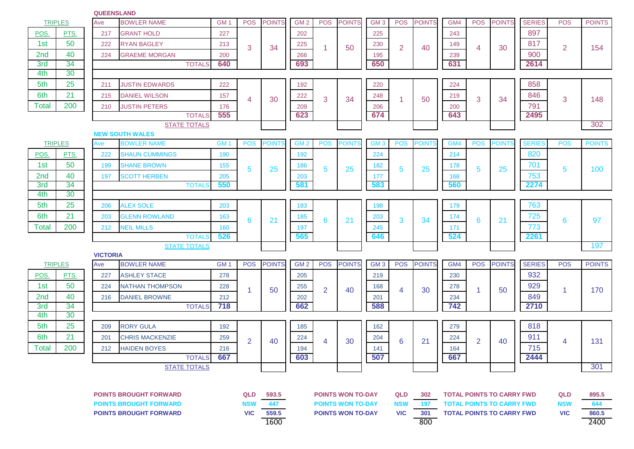## **QUEENSLAND**

| <b>TRIPLES</b>                |                               | Ave | <b>BOWLER NAME</b>                 | GM <sub>1</sub><br><b>POS</b><br>227<br>213<br>3 | <b>POINTS</b>  | GM <sub>2</sub> | <b>POS</b>      | <b>POINTS</b>  | GM <sub>3</sub>          | <b>POS</b>      | <b>POINTS</b>  | GM4           | <b>POS</b> | <b>POINTS</b>  | <b>SERIES</b>                    | <b>POS</b>    | <b>POINTS</b> |               |
|-------------------------------|-------------------------------|-----|------------------------------------|--------------------------------------------------|----------------|-----------------|-----------------|----------------|--------------------------|-----------------|----------------|---------------|------------|----------------|----------------------------------|---------------|---------------|---------------|
| POS.                          | PTS.                          | 217 | <b>GRANT HOLD</b>                  |                                                  |                |                 | 202             |                |                          | 225             |                |               | 243        |                |                                  | 897           |               |               |
| 1st                           | 50                            | 222 | <b>RYAN BAGLEY</b>                 |                                                  |                | 34              | 225             | $\mathbf{1}$   | 50                       | 230             | $\overline{2}$ | 40            | 149        | 4              | 30                               | 817           | 2             | 154           |
| 2nd                           | 40                            | 224 | <b>GRAEME MORGAN</b>               | 200                                              |                |                 | 266             |                |                          | 195             |                |               | 239        |                |                                  | 900           |               |               |
| 3rd                           | 34                            |     | <b>TOTALS</b>                      | 640                                              |                |                 | 693             |                |                          | 650             |                |               | 631        |                |                                  | 2614          |               |               |
| 4th                           | 30                            |     |                                    |                                                  |                |                 |                 |                |                          |                 |                |               |            |                |                                  |               |               |               |
| 5th                           | 25                            | 211 | <b>JUSTIN EDWARDS</b>              | 222                                              |                |                 | 192             |                |                          | 220             |                |               | 224        |                |                                  | 858           |               |               |
| 6th                           | 21                            | 215 | <b>DANIEL WILSON</b>               | 157                                              | 4              | 30              | 222             | 3              | 34                       | 248             |                | 50            | 219        | 3              | 34                               | 846           | 3             | 148           |
| <b>Total</b>                  | 200                           | 210 | <b>JUSTIN PETERS</b>               | 176                                              |                |                 | 209             |                |                          | 206             |                |               | 200        |                |                                  | 791           |               |               |
|                               |                               |     | <b>TOTALS</b>                      | 555                                              |                |                 | 623             |                |                          | 674             |                |               | 643        |                |                                  | 2495          |               |               |
|                               |                               |     | <b>STATE TOTALS</b>                |                                                  |                |                 |                 |                |                          |                 |                |               |            |                |                                  |               |               | 302           |
|                               |                               |     | <b>NEW SOUTH WALES</b>             |                                                  |                |                 |                 |                |                          |                 |                |               |            |                |                                  |               |               |               |
|                               | <b>TRIPLES</b>                | Ave | <b>BOWLER NAME</b>                 | GM <sub>1</sub>                                  | <b>POS</b>     | <b>POINTS</b>   | GM <sub>2</sub> | <b>POS</b>     | <b>POINT</b>             | GM <sub>3</sub> | <b>POS</b>     | <b>POINTS</b> | GM4        | <b>POS</b>     | <b>POINTS</b>                    | <b>SERIES</b> | <b>POS</b>    | <b>POINTS</b> |
| POS.                          | PTS.                          | 222 | <b>SHAUN CUMMINGS</b>              | 190                                              |                |                 | 192             |                |                          | 224             |                |               | 214        |                |                                  | 820           |               |               |
| 1st                           | 50                            | 199 | <b>SHANE BROWN</b>                 | 155                                              | 5              | 25              | 186             | 5              | 25                       | 182             | 5              | 25            | 178        | 5              | 25                               | 701           | 5             | 100           |
| 2 <sub>nd</sub>               | 40                            | 197 | <b>SCOTT HERBEN</b>                | 205                                              |                |                 | 203             |                |                          | 177             |                |               | 168        |                |                                  | 753           |               |               |
| 3rd<br>4th                    | 34<br>30                      |     | <b>TOTALS</b>                      | 550                                              |                |                 | 581             |                |                          | 583             |                |               | 560        |                |                                  | 2274          |               |               |
| 5th                           | 25                            | 206 | <b>ALEX SOLE</b>                   | 203                                              |                |                 |                 |                |                          |                 |                |               |            |                |                                  | 763           |               |               |
| 6th                           | 21                            |     | <b>GLENN ROWLAND</b>               |                                                  |                |                 | 183             |                |                          | 198             |                |               | 179        |                |                                  | 725           |               |               |
|                               |                               | 203 |                                    | 163                                              | 6              | 21              | 185             | $6^{\circ}$    | 21                       | 203             | 3              | 34            | 174        | 6              | 21                               |               | 6             | 97            |
| <b>Total</b>                  | 200                           | 212 | <b>NEIL MILLS</b><br><b>TOTALS</b> | 160<br>526                                       |                |                 | 197<br>565      |                |                          | 245<br>646      |                |               | 171<br>524 |                |                                  | 773<br>2261   |               |               |
|                               |                               |     | <b>STATE TOTALS</b>                |                                                  |                |                 |                 |                |                          |                 |                |               |            |                |                                  |               |               | 197           |
|                               | <b>VICTORIA</b>               |     |                                    |                                                  |                |                 |                 |                |                          |                 |                |               |            |                |                                  |               |               |               |
|                               | <b>TRIPLES</b>                | Ave | <b>BOWLER NAME</b>                 | GM <sub>1</sub>                                  | <b>POS</b>     | <b>POINTS</b>   | GM <sub>2</sub> | <b>POS</b>     | <b>POINTS</b>            | GM <sub>3</sub> | <b>POS</b>     | <b>POINTS</b> | GM4        | <b>POS</b>     | <b>POINTS</b>                    | <b>SERIES</b> | <b>POS</b>    | <b>POINTS</b> |
| POS.                          | PTS.                          | 227 | <b>ASHLEY STACE</b>                | 278                                              |                |                 | 205             |                |                          | 219             |                |               | 230        |                |                                  | 932           |               |               |
| 1st                           | 50                            | 224 | <b>NATHAN THOMPSON</b>             | 228                                              | 1              | 50              | 255             | $\overline{2}$ | 40                       | 168             | $\overline{4}$ | 30            | 278        | 1              | 50                               | 929           | 1             | 170           |
| 2 <sub>nd</sub>               | 40                            | 216 | <b>DANIEL BROWNE</b>               | 212                                              |                |                 | 202             |                |                          | 201             |                |               | 234        |                |                                  | 849           |               |               |
| 3rd                           | 34                            |     | <b>TOTALS</b>                      | 718                                              |                |                 | 662             |                |                          | 588             |                |               | 742        |                |                                  | 2710          |               |               |
| 4th                           | 30                            |     |                                    |                                                  |                |                 |                 |                |                          |                 |                |               |            |                |                                  |               |               |               |
| 5th                           | 25                            | 209 | <b>RORY GULA</b>                   | 192                                              |                |                 | 185             |                |                          | 162             |                |               | 279        |                |                                  | 818           |               |               |
| 6th                           | 21                            | 201 | <b>CHRIS MACKENZIE</b>             | 259                                              | $\overline{2}$ | 40              | 224             | 4              | 30                       | 204             | 6              | 21            | 224        | $\overline{2}$ | 40                               | 911           | 4             | 131           |
| Total                         | 200                           | 212 | <b>HAIDEN BOYES</b>                | 216                                              |                |                 | 194             |                |                          | 141             |                |               | 164        |                |                                  | 715           |               |               |
|                               |                               |     | TOTALS 667                         |                                                  |                |                 | 603             |                |                          | 507             |                |               | 667        |                |                                  | 2444          |               |               |
|                               | <b>STATE TOTALS</b>           |     |                                    |                                                  |                |                 |                 |                |                          |                 |                |               |            |                |                                  |               |               | 301           |
|                               |                               |     |                                    |                                                  |                |                 |                 |                |                          |                 |                |               |            |                |                                  |               |               |               |
| <b>POINTS BROUGHT FORWARD</b> |                               |     |                                    |                                                  | <b>QLD</b>     | 593.5           |                 |                | <b>POINTS WON TO-DAY</b> |                 | <b>QLD</b>     | 302           |            |                | <b>TOTAL POINTS TO CARRY FWD</b> |               | QLD           | 895.5         |
|                               | <b>POINTS BROUGHT FORWARD</b> |     |                                    |                                                  | <b>NSW</b>     | 447             |                 |                | <b>POINTS WON TO-DAY</b> |                 | <b>NSW</b>     | 197           |            |                | <b>TOTAL POINTS TO CARRY FWD</b> |               | <b>NSW</b>    | 644           |
|                               | <b>POINTS BROUGHT FORWARD</b> |     |                                    |                                                  | <b>VIC</b>     | 559.5           |                 |                | <b>POINTS WON TO-DAY</b> |                 | <b>VIC</b>     | 301           |            |                | <b>TOTAL POINTS TO CARRY FWD</b> |               | <b>VIC</b>    | 860.5         |
|                               |                               |     |                                    |                                                  |                | 1600            |                 |                |                          |                 |                | 800           |            |                |                                  |               |               | 2400          |